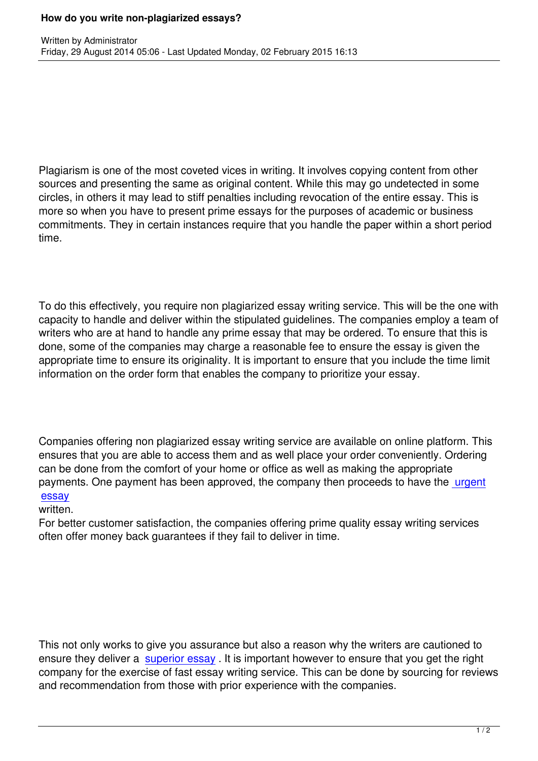Written by Administrator and Administrator and Administrator and Administrator and Administrator and Administrator and Administrator and Administrator and Administrator and Administrator and Administrator and Administrator

Plagiarism is one of the most coveted vices in writing. It involves copying content from other sources and presenting the same as original content. While this may go undetected in some circles, in others it may lead to stiff penalties including revocation of the entire essay. This is more so when you have to present prime essays for the purposes of academic or business commitments. They in certain instances require that you handle the paper within a short period time.

To do this effectively, you require non plagiarized essay writing service. This will be the one with capacity to handle and deliver within the stipulated guidelines. The companies employ a team of writers who are at hand to handle any prime essay that may be ordered. To ensure that this is done, some of the companies may charge a reasonable fee to ensure the essay is given the appropriate time to ensure its originality. It is important to ensure that you include the time limit information on the order form that enables the company to prioritize your essay.

Companies offering non plagiarized essay writing service are available on online platform. This ensures that you are able to access them and as well place your order conveniently. Ordering can be done from the comfort of your home or office as well as making the appropriate payments. One payment has been approved, the company then proceeds to have the urgent essay

## written.

For better customer satisfaction, the companies offering prime quality essay writing se[rvices](http://urgentessaywritingorder.com/) [often o](http://urgentessaywritingorder.com/)ffer money back guarantees if they fail to deliver in time.

This not only works to give you assurance but also a reason why the writers are cautioned to ensure they deliver a superior essay. It is important however to ensure that you get the right company for the exercise of fast essay writing service. This can be done by sourcing for reviews and recommendation from those with prior experience with the companies.